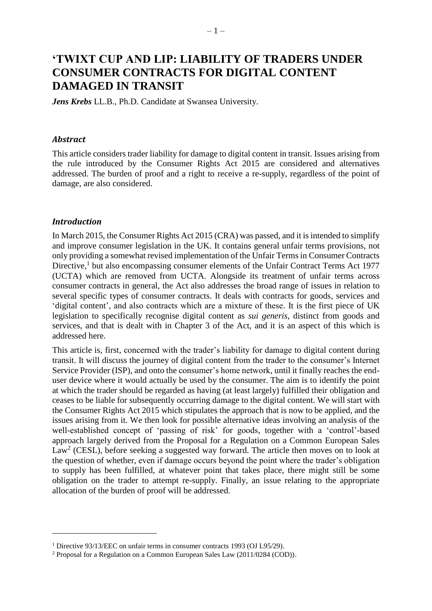# **'TWIXT CUP AND LIP: LIABILITY OF TRADERS UNDER CONSUMER CONTRACTS FOR DIGITAL CONTENT DAMAGED IN TRANSIT**

*Jens Krebs* LL.B., Ph.D. Candidate at Swansea University.

#### *Abstract*

This article considers trader liability for damage to digital content in transit. Issues arising from the rule introduced by the Consumer Rights Act 2015 are considered and alternatives addressed. The burden of proof and a right to receive a re-supply, regardless of the point of damage, are also considered.

#### *Introduction*

1

In March 2015, the Consumer Rights Act 2015 (CRA) was passed, and it is intended to simplify and improve consumer legislation in the UK. It contains general unfair terms provisions, not only providing a somewhat revised implementation of the Unfair Terms in Consumer Contracts Directive,<sup>1</sup> but also encompassing consumer elements of the Unfair Contract Terms Act 1977 (UCTA) which are removed from UCTA. Alongside its treatment of unfair terms across consumer contracts in general, the Act also addresses the broad range of issues in relation to several specific types of consumer contracts. It deals with contracts for goods, services and 'digital content', and also contracts which are a mixture of these. It is the first piece of UK legislation to specifically recognise digital content as *sui generis*, distinct from goods and services, and that is dealt with in Chapter 3 of the Act, and it is an aspect of this which is addressed here.

This article is, first, concerned with the trader's liability for damage to digital content during transit. It will discuss the journey of digital content from the trader to the consumer's Internet Service Provider (ISP), and onto the consumer's home network, until it finally reaches the enduser device where it would actually be used by the consumer. The aim is to identify the point at which the trader should be regarded as having (at least largely) fulfilled their obligation and ceases to be liable for subsequently occurring damage to the digital content. We will start with the Consumer Rights Act 2015 which stipulates the approach that is now to be applied, and the issues arising from it. We then look for possible alternative ideas involving an analysis of the well-established concept of 'passing of risk' for goods, together with a 'control'-based approach largely derived from the Proposal for a Regulation on a Common European Sales  $Law<sup>2</sup>$  (CESL), before seeking a suggested way forward. The article then moves on to look at the question of whether, even if damage occurs beyond the point where the trader's obligation to supply has been fulfilled, at whatever point that takes place, there might still be some obligation on the trader to attempt re-supply. Finally, an issue relating to the appropriate allocation of the burden of proof will be addressed.

<sup>&</sup>lt;sup>1</sup> Directive 93/13/EEC on unfair terms in consumer contracts 1993 (OJ L95/29).

<sup>2</sup> Proposal for a Regulation on a Common European Sales Law (2011/0284 (COD)).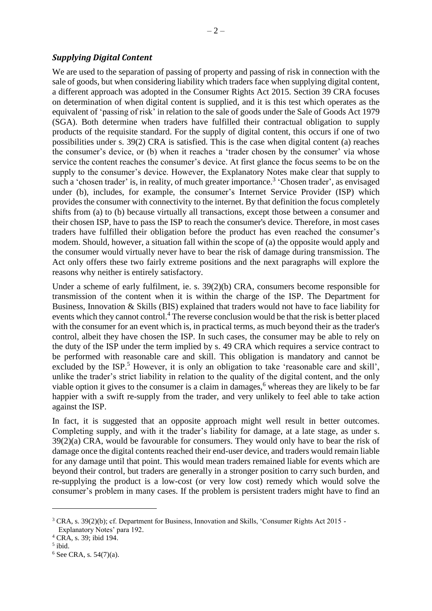## *Supplying Digital Content*

We are used to the separation of passing of property and passing of risk in connection with the sale of goods, but when considering liability which traders face when supplying digital content, a different approach was adopted in the Consumer Rights Act 2015. Section 39 CRA focuses on determination of when digital content is supplied, and it is this test which operates as the equivalent of 'passing of risk' in relation to the sale of goods under the Sale of Goods Act 1979 (SGA). Both determine when traders have fulfilled their contractual obligation to supply products of the requisite standard. For the supply of digital content, this occurs if one of two possibilities under s. 39(2) CRA is satisfied. This is the case when digital content (a) reaches the consumer's device, or (b) when it reaches a 'trader chosen by the consumer' via whose service the content reaches the consumer's device. At first glance the focus seems to be on the supply to the consumer's device. However, the Explanatory Notes make clear that supply to such a 'chosen trader' is, in reality, of much greater importance.<sup>3</sup> 'Chosen trader', as envisaged under (b), includes, for example, the consumer's Internet Service Provider (ISP) which provides the consumer with connectivity to the internet. By that definition the focus completely shifts from (a) to (b) because virtually all transactions, except those between a consumer and their chosen ISP, have to pass the ISP to reach the consumer's device. Therefore, in most cases traders have fulfilled their obligation before the product has even reached the consumer's modem. Should, however, a situation fall within the scope of (a) the opposite would apply and the consumer would virtually never have to bear the risk of damage during transmission. The Act only offers these two fairly extreme positions and the next paragraphs will explore the reasons why neither is entirely satisfactory.

Under a scheme of early fulfilment, ie. s. 39(2)(b) CRA, consumers become responsible for transmission of the content when it is within the charge of the ISP. The Department for Business, Innovation & Skills (BIS) explained that traders would not have to face liability for events which they cannot control.<sup>4</sup> The reverse conclusion would be that the risk is better placed with the consumer for an event which is, in practical terms, as much beyond their as the trader's control, albeit they have chosen the ISP. In such cases, the consumer may be able to rely on the duty of the ISP under the term implied by s. 49 CRA which requires a service contract to be performed with reasonable care and skill. This obligation is mandatory and cannot be excluded by the ISP.<sup>5</sup> However, it is only an obligation to take 'reasonable care and skill', unlike the trader's strict liability in relation to the quality of the digital content, and the only viable option it gives to the consumer is a claim in damages,<sup>6</sup> whereas they are likely to be far happier with a swift re-supply from the trader, and very unlikely to feel able to take action against the ISP.

In fact, it is suggested that an opposite approach might well result in better outcomes. Completing supply, and with it the trader's liability for damage, at a late stage, as under s. 39(2)(a) CRA, would be favourable for consumers. They would only have to bear the risk of damage once the digital contents reached their end-user device, and traders would remain liable for any damage until that point. This would mean traders remained liable for events which are beyond their control, but traders are generally in a stronger position to carry such burden, and re-supplying the product is a low-cost (or very low cost) remedy which would solve the consumer's problem in many cases. If the problem is persistent traders might have to find an

<u>.</u>

<sup>3</sup> CRA, s. 39(2)(b); cf. Department for Business, Innovation and Skills, 'Consumer Rights Act 2015 - Explanatory Notes' para 192.

<sup>4</sup> CRA, s. 39; ibid 194.

<sup>5</sup> ibid.

 $6$  See CRA, s. 54(7)(a).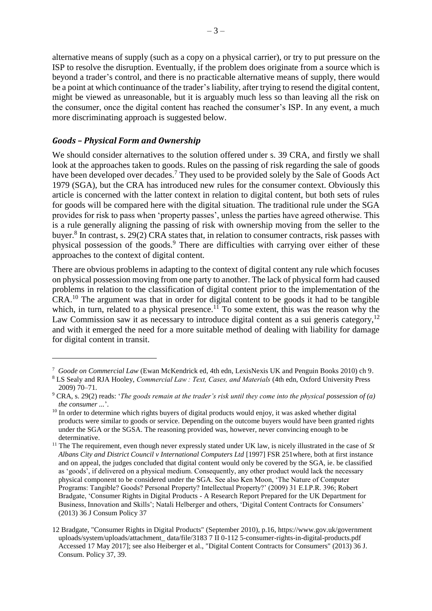alternative means of supply (such as a copy on a physical carrier), or try to put pressure on the ISP to resolve the disruption. Eventually, if the problem does originate from a source which is beyond a trader's control, and there is no practicable alternative means of supply, there would be a point at which continuance of the trader's liability, after trying to resend the digital content, might be viewed as unreasonable, but it is arguably much less so than leaving all the risk on the consumer, once the digital content has reached the consumer's ISP. In any event, a much more discriminating approach is suggested below.

## *Goods – Physical Form and Ownership*

1

We should consider alternatives to the solution offered under s. 39 CRA, and firstly we shall look at the approaches taken to goods. Rules on the passing of risk regarding the sale of goods have been developed over decades.<sup>7</sup> They used to be provided solely by the Sale of Goods Act 1979 (SGA), but the CRA has introduced new rules for the consumer context. Obviously this article is concerned with the latter context in relation to digital content, but both sets of rules for goods will be compared here with the digital situation. The traditional rule under the SGA provides for risk to pass when 'property passes', unless the parties have agreed otherwise. This is a rule generally aligning the passing of risk with ownership moving from the seller to the buyer.<sup>8</sup> In contrast, s. 29(2) CRA states that, in relation to consumer contracts, risk passes with physical possession of the goods.<sup>9</sup> There are difficulties with carrying over either of these approaches to the context of digital content.

There are obvious problems in adapting to the context of digital content any rule which focuses on physical possession moving from one party to another. The lack of physical form had caused problems in relation to the classification of digital content prior to the implementation of the CRA.<sup>10</sup> The argument was that in order for digital content to be goods it had to be tangible which, in turn, related to a physical presence.<sup>11</sup> To some extent, this was the reason why the Law Commission saw it as necessary to introduce digital content as a sui generis category,<sup>12</sup> and with it emerged the need for a more suitable method of dealing with liability for damage for digital content in transit.

<sup>7</sup> *Goode on Commercial Law* (Ewan McKendrick ed, 4th edn, LexisNexis UK and Penguin Books 2010) ch 9.

<sup>8</sup> LS Sealy and RJA Hooley, *Commercial Law : Text, Cases, and Materials* (4th edn, Oxford University Press 2009) 70–71.

<sup>9</sup> CRA, s. 29(2) reads: '*The goods remain at the trader's risk until they come into the physical possession of (a) the consumer ...*'.

<sup>&</sup>lt;sup>10</sup> In order to determine which rights buyers of digital products would enjoy, it was asked whether digital products were similar to goods or service. Depending on the outcome buyers would have been granted rights under the SGA or the SGSA. The reasoning provided was, however, never convincing enough to be determinative.

<sup>&</sup>lt;sup>11</sup> The The requirement, even though never expressly stated under UK law, is nicely illustrated in the case of *St Albans City and District Council v International Computers Ltd* [1997] FSR 251where, both at first instance and on appeal, the judges concluded that digital content would only be covered by the SGA, ie. be classified as 'goods', if delivered on a physical medium. Consequently, any other product would lack the necessary physical component to be considered under the SGA. See also Ken Moon, 'The Nature of Computer Programs: Tangible? Goods? Personal Property? Intellectual Property?' (2009) 31 E.I.P.R. 396; Robert Bradgate, 'Consumer Rights in Digital Products - A Research Report Prepared for the UK Department for Business, Innovation and Skills'; Natali Helberger and others, 'Digital Content Contracts for Consumers' (2013) 36 J Consum Policy 37

<sup>12</sup> Bradgate, "Consumer Rights in Digital Products" (September 2010), p.16, https://www.gov.uk/government uploads/system/uploads/attachment\_ data/file/3183 7 II 0-112 5-consumer-rights-in-digital-products.pdf Accessed 17 May 2017]; see also Heiberger et al., "Digital Content Contracts for Consumers" (2013) 36 J. Consum. Policy 37, 39.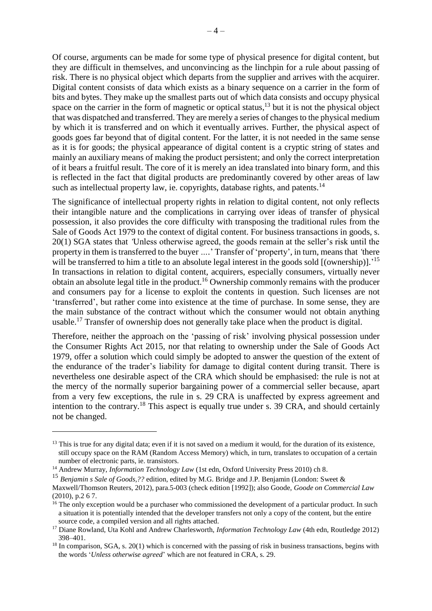Of course, arguments can be made for some type of physical presence for digital content, but they are difficult in themselves, and unconvincing as the linchpin for a rule about passing of risk. There is no physical object which departs from the supplier and arrives with the acquirer. Digital content consists of data which exists as a binary sequence on a carrier in the form of bits and bytes. They make up the smallest parts out of which data consists and occupy physical space on the carrier in the form of magnetic or optical status, $^{13}$  but it is not the physical object that was dispatched and transferred. They are merely a series of changes to the physical medium by which it is transferred and on which it eventually arrives. Further, the physical aspect of goods goes far beyond that of digital content. For the latter, it is not needed in the same sense as it is for goods; the physical appearance of digital content is a cryptic string of states and mainly an auxiliary means of making the product persistent; and only the correct interpretation of it bears a fruitful result. The core of it is merely an idea translated into binary form, and this is reflected in the fact that digital products are predominantly covered by other areas of law such as intellectual property law, ie. copyrights, database rights, and patents.<sup>14</sup>

The significance of intellectual property rights in relation to digital content, not only reflects their intangible nature and the complications in carrying over ideas of transfer of physical possession, it also provides the core difficulty with transposing the traditional rules from the Sale of Goods Act 1979 to the context of digital content. For business transactions in goods, s. 20(1) SGA states that *'*Unless otherwise agreed, the goods remain at the seller's risk until the property in them is transferred to the buyer *….*' Transfer of 'property', in turn, means that *'*there will be transferred to him a title to an absolute legal interest in the goods sold [(ownership)].<sup>'15</sup> In transactions in relation to digital content, acquirers, especially consumers, virtually never obtain an absolute legal title in the product.<sup>16</sup> Ownership commonly remains with the producer and consumers pay for a license to exploit the contents in question. Such licenses are not 'transferred', but rather come into existence at the time of purchase. In some sense, they are the main substance of the contract without which the consumer would not obtain anything usable.<sup>17</sup> Transfer of ownership does not generally take place when the product is digital.

Therefore, neither the approach on the 'passing of risk' involving physical possession under the Consumer Rights Act 2015, nor that relating to ownership under the Sale of Goods Act 1979, offer a solution which could simply be adopted to answer the question of the extent of the endurance of the trader's liability for damage to digital content during transit. There is nevertheless one desirable aspect of the CRA which should be emphasised: the rule is not at the mercy of the normally superior bargaining power of a commercial seller because, apart from a very few exceptions, the rule in s. 29 CRA is unaffected by express agreement and intention to the contrary.<sup>18</sup> This aspect is equally true under s. 39 CRA, and should certainly not be changed.

1

 $13$  This is true for any digital data; even if it is not saved on a medium it would, for the duration of its existence, still occupy space on the RAM (Random Access Memory) which, in turn, translates to occupation of a certain number of electronic parts, ie. transistors.

<sup>&</sup>lt;sup>14</sup> Andrew Murray, *Information Technology Law* (1st edn, Oxford University Press 2010) ch 8.

<sup>15</sup> *Benjamin s Sale of Goods,??* edition, edited by M.G. Bridge and J.P. Benjamin (London: Sweet &

Maxwell/Thomson Reuters, 2012), para.5-003 (check edition [1992]); also Goode, *Goode on Commercial Law*  (2010), p.2 6 7.

<sup>&</sup>lt;sup>16</sup> The only exception would be a purchaser who commissioned the development of a particular product. In such a situation it is potentially intended that the developer transfers not only a copy of the content, but the entire source code, a compiled version and all rights attached.

<sup>17</sup> Diane Rowland, Uta Kohl and Andrew Charlesworth, *Information Technology Law* (4th edn, Routledge 2012) 398–401.

 $18$  In comparison, SGA, s. 20(1) which is concerned with the passing of risk in business transactions, begins with the words '*Unless otherwise agreed*' which are not featured in CRA, s. 29.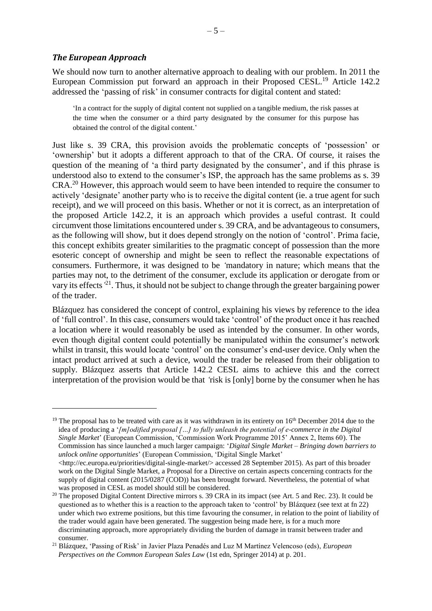#### *The European Approach*

1

We should now turn to another alternative approach to dealing with our problem. In 2011 the European Commission put forward an approach in their Proposed CESL.<sup>19</sup> Article 142.2 addressed the 'passing of risk' in consumer contracts for digital content and stated:

'In a contract for the supply of digital content not supplied on a tangible medium, the risk passes at the time when the consumer or a third party designated by the consumer for this purpose has obtained the control of the digital content.'

Just like s. 39 CRA, this provision avoids the problematic concepts of 'possession' or 'ownership' but it adopts a different approach to that of the CRA. Of course, it raises the question of the meaning of 'a third party designated by the consumer', and if this phrase is understood also to extend to the consumer's ISP, the approach has the same problems as s. 39 CRA.<sup>20</sup> However, this approach would seem to have been intended to require the consumer to actively 'designate' another party who is to receive the digital content (ie. a true agent for such receipt), and we will proceed on this basis. Whether or not it is correct, as an interpretation of the proposed Article 142.2, it is an approach which provides a useful contrast. It could circumvent those limitations encountered under s. 39 CRA, and be advantageous to consumers, as the following will show, but it does depend strongly on the notion of 'control'. Prima facie, this concept exhibits greater similarities to the pragmatic concept of possession than the more esoteric concept of ownership and might be seen to reflect the reasonable expectations of consumers. Furthermore, it was designed to be *'*mandatory in nature; which means that the parties may not, to the detriment of the consumer, exclude its application or derogate from or vary its effects*'* 21 . Thus, it should not be subject to change through the greater bargaining power of the trader.

Blázquez has considered the concept of control, explaining his views by reference to the idea of 'full control'. In this case, consumers would take 'control' of the product once it has reached a location where it would reasonably be used as intended by the consumer. In other words, even though digital content could potentially be manipulated within the consumer's network whilst in transit, this would locate 'control' on the consumer's end-user device. Only when the intact product arrived at such a device, would the trader be released from their obligation to supply. Blázquez asserts that Article 142.2 CESL aims to achieve this and the correct interpretation of the provision would be that *'*risk is [only] borne by the consumer when he has

<sup>&</sup>lt;sup>19</sup> The proposal has to be treated with care as it was withdrawn in its entirety on  $16<sup>th</sup>$  December 2014 due to the idea of producing a '*[m]odified proposal […] to fully unleash the potential of e-commerce in the Digital Single Market*' (European Commission, 'Commission Work Programme 2015' Annex 2, Items 60). The Commission has since launched a much larger campaign: '*Digital Single Market – Bringing down barriers to unlock online opportunities*' (European Commission, 'Digital Single Market'  $\langle$ http://ec.europa.eu/priorities/digital-single-market/> accessed 28 September 2015). As part of this broader work on the Digital Single Market, a Proposal for a Directive on certain aspects concerning contracts for the

supply of digital content (2015/0287 (COD)) has been brought forward. Nevertheless, the potential of what was proposed in CESL as model should still be considered.

<sup>&</sup>lt;sup>20</sup> The proposed Digital Content Directive mirrors s. 39 CRA in its impact (see Art. 5 and Rec. 23). It could be questioned as to whether this is a reaction to the approach taken to 'control' by Blázquez (see text at fn 22) under which two extreme positions, but this time favouring the consumer, in relation to the point of liability of the trader would again have been generated. The suggestion being made here, is for a much more discriminating approach, more appropriately dividing the burden of damage in transit between trader and consumer.

<sup>21</sup> Blázquez, 'Passing of Risk' in Javier Plaza Penadés and Luz M Martínez Velencoso (eds), *European Perspectives on the Common European Sales Law* (1st edn, Springer 2014) at p. 201.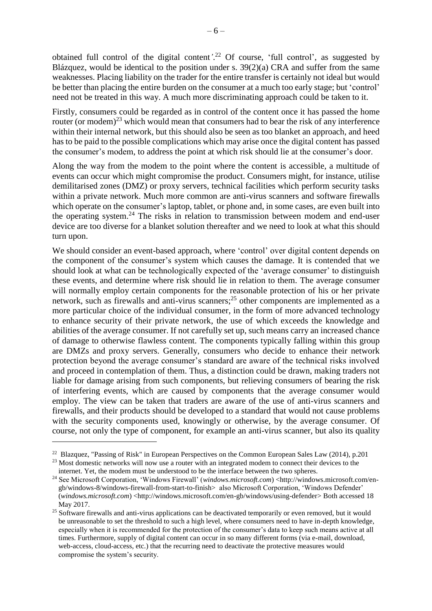obtained full control of the digital content*'*. <sup>22</sup> Of course, 'full control', as suggested by Blázquez, would be identical to the position under s. 39(2)(a) CRA and suffer from the same weaknesses. Placing liability on the trader for the entire transfer is certainly not ideal but would be better than placing the entire burden on the consumer at a much too early stage; but 'control' need not be treated in this way. A much more discriminating approach could be taken to it.

Firstly, consumers could be regarded as in control of the content once it has passed the home router (or modem)<sup>23</sup> which would mean that consumers had to bear the risk of any interference within their internal network, but this should also be seen as too blanket an approach, and heed has to be paid to the possible complications which may arise once the digital content has passed the consumer's modem, to address the point at which risk should lie at the consumer's door.

Along the way from the modem to the point where the content is accessible, a multitude of events can occur which might compromise the product. Consumers might, for instance, utilise demilitarised zones (DMZ) or proxy servers, technical facilities which perform security tasks within a private network. Much more common are anti-virus scanners and software firewalls which operate on the consumer's laptop, tablet, or phone and, in some cases, are even built into the operating system.<sup>24</sup> The risks in relation to transmission between modem and end-user device are too diverse for a blanket solution thereafter and we need to look at what this should turn upon.

We should consider an event-based approach, where 'control' over digital content depends on the component of the consumer's system which causes the damage. It is contended that we should look at what can be technologically expected of the 'average consumer' to distinguish these events, and determine where risk should lie in relation to them. The average consumer will normally employ certain components for the reasonable protection of his or her private network, such as firewalls and anti-virus scanners; <sup>25</sup> other components are implemented as a more particular choice of the individual consumer, in the form of more advanced technology to enhance security of their private network, the use of which exceeds the knowledge and abilities of the average consumer. If not carefully set up, such means carry an increased chance of damage to otherwise flawless content. The components typically falling within this group are DMZs and proxy servers. Generally, consumers who decide to enhance their network protection beyond the average consumer's standard are aware of the technical risks involved and proceed in contemplation of them. Thus, a distinction could be drawn, making traders not liable for damage arising from such components, but relieving consumers of bearing the risk of interfering events, which are caused by components that the average consumer would employ. The view can be taken that traders are aware of the use of anti-virus scanners and firewalls, and their products should be developed to a standard that would not cause problems with the security components used, knowingly or otherwise, by the average consumer. Of course, not only the type of component, for example an anti-virus scanner, but also its quality 1

<sup>22</sup> Blazquez, "Passing of Risk" in European Perspectives on the Common European Sales Law (2014), p.201

<sup>&</sup>lt;sup>23</sup> Most domestic networks will now use a router with an integrated modem to connect their devices to the internet. Yet, the modem must be understood to be the interface between the two spheres.

<sup>&</sup>lt;sup>24</sup> See Microsoft Corporation, 'Windows Firewall' (*windows.microsoft.com*) <http://windows.microsoft.com/engb/windows-8/windows-firewall-from-start-to-finish> also Microsoft Corporation, 'Windows Defender' (*windows.microsoft.com*) <http://windows.microsoft.com/en-gb/windows/using-defender> Both accessed 18 May 2017.

<sup>&</sup>lt;sup>25</sup> Software firewalls and anti-virus applications can be deactivated temporarily or even removed, but it would be unreasonable to set the threshold to such a high level, where consumers need to have in-depth knowledge, especially when it is recommended for the protection of the consumer's data to keep such means active at all times. Furthermore, supply of digital content can occur in so many different forms (via e-mail, download, web-access, cloud-access, etc.) that the recurring need to deactivate the protective measures would compromise the system's security.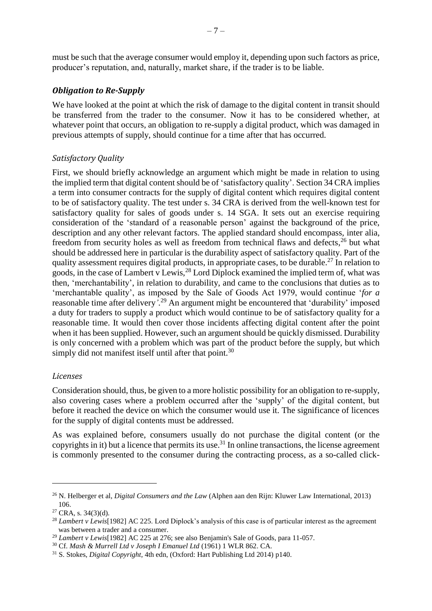must be such that the average consumer would employ it, depending upon such factors as price, producer's reputation, and, naturally, market share, if the trader is to be liable.

## *Obligation to Re-Supply*

We have looked at the point at which the risk of damage to the digital content in transit should be transferred from the trader to the consumer. Now it has to be considered whether, at whatever point that occurs, an obligation to re-supply a digital product, which was damaged in previous attempts of supply, should continue for a time after that has occurred.

# *Satisfactory Quality*

First, we should briefly acknowledge an argument which might be made in relation to using the implied term that digital content should be of 'satisfactory quality'. Section 34 CRA implies a term into consumer contracts for the supply of digital content which requires digital content to be of satisfactory quality. The test under s. 34 CRA is derived from the well-known test for satisfactory quality for sales of goods under s. 14 SGA. It sets out an exercise requiring consideration of the 'standard of a reasonable person' against the background of the price, description and any other relevant factors. The applied standard should encompass*,* inter alia*,* freedom from security holes as well as freedom from technical flaws and defects,<sup>26</sup> but what should be addressed here in particular is the durability aspect of satisfactory quality. Part of the quality assessment requires digital products, in appropriate cases, to be durable.<sup>27</sup> In relation to goods, in the case of Lambert v Lewis, <sup>28</sup> Lord Diplock examined the implied term of, what was then, 'merchantability', in relation to durability, and came to the conclusions that duties as to 'merchantable quality', as imposed by the Sale of Goods Act 1979, would continue '*for a*  reasonable time after delivery*'*. <sup>29</sup> An argument might be encountered that 'durability' imposed a duty for traders to supply a product which would continue to be of satisfactory quality for a reasonable time. It would then cover those incidents affecting digital content after the point when it has been supplied. However, such an argument should be quickly dismissed. Durability is only concerned with a problem which was part of the product before the supply, but which simply did not manifest itself until after that point.<sup>30</sup>

#### *Licenses*

Consideration should, thus, be given to a more holistic possibility for an obligation to re-supply, also covering cases where a problem occurred after the 'supply' of the digital content, but before it reached the device on which the consumer would use it. The significance of licences for the supply of digital contents must be addressed.

As was explained before, consumers usually do not purchase the digital content (or the copyrights in it) but a licence that permits its use.<sup>31</sup> In online transactions, the license agreement is commonly presented to the consumer during the contracting process, as a so-called click-

1

<sup>26</sup> N. Helberger et al, *Digital Consumers and the Law* (Alphen aan den Rijn: Kluwer Law International, 2013) 106.

 $27$  CRA, s. 34(3)(d).

<sup>28</sup> *Lambert v Lewis*[1982] AC 225. Lord Diplock's analysis of this case is of particular interest as the agreement was between a trader and a consumer.

<sup>29</sup> *Lambert v Lewis*[1982] AC 225 at 276; see also Benjamin's Sale of Goods, para 11-057.

<sup>30</sup> Cf. *Mash & Murrell Ltd v Joseph I Emanuel Ltd* (1961) 1 WLR 862. CA.

<sup>31</sup> S. Stokes, *Digital Copyright*, 4th edn, (Oxford: Hart Publishing Ltd 2014) p140.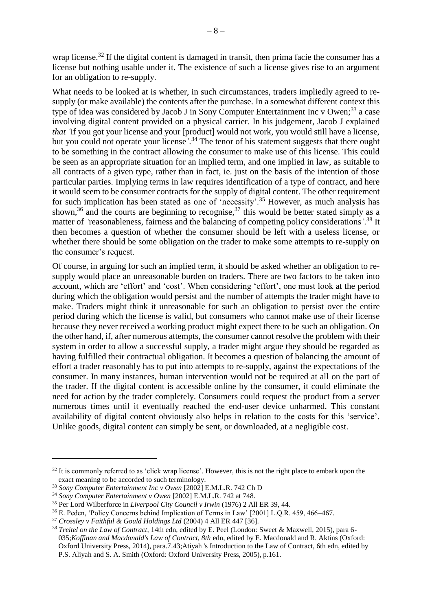wrap license.<sup>32</sup> If the digital content is damaged in transit, then prima facie the consumer has a license but nothing usable under it. The existence of such a license gives rise to an argument for an obligation to re-supply.

What needs to be looked at is whether, in such circumstances, traders impliedly agreed to resupply (or make available) the contents after the purchase. In a somewhat different context this type of idea was considered by Jacob J in Sony Computer Entertainment Inc v Owen;<sup>33</sup> a case involving digital content provided on a physical carrier. In his judgement, Jacob J explained *that* 'if you got your license and your [product] would not work, you would still have a license, but you could not operate your license*'*. <sup>34</sup> The tenor of his statement suggests that there ought to be something in the contract allowing the consumer to make use of this license. This could be seen as an appropriate situation for an implied term, and one implied in law, as suitable to all contracts of a given type, rather than in fact, ie. just on the basis of the intention of those particular parties. Implying terms in law requires identification of a type of contract, and here it would seem to be consumer contracts for the supply of digital content. The other requirement for such implication has been stated as one of 'necessity'.<sup>35</sup> However, as much analysis has shown,<sup>36</sup> and the courts are beginning to recognise,<sup>37</sup> this would be better stated simply as a matter of *'*reasonableness, fairness and the balancing of competing policy considerations*'*. <sup>38</sup> It then becomes a question of whether the consumer should be left with a useless license, or whether there should be some obligation on the trader to make some attempts to re-supply on the consumer's request.

Of course, in arguing for such an implied term, it should be asked whether an obligation to resupply would place an unreasonable burden on traders. There are two factors to be taken into account, which are 'effort' and 'cost'. When considering 'effort', one must look at the period during which the obligation would persist and the number of attempts the trader might have to make. Traders might think it unreasonable for such an obligation to persist over the entire period during which the license is valid, but consumers who cannot make use of their license because they never received a working product might expect there to be such an obligation. On the other hand, if, after numerous attempts, the consumer cannot resolve the problem with their system in order to allow a successful supply, a trader might argue they should be regarded as having fulfilled their contractual obligation. It becomes a question of balancing the amount of effort a trader reasonably has to put into attempts to re-supply, against the expectations of the consumer. In many instances, human intervention would not be required at all on the part of the trader. If the digital content is accessible online by the consumer, it could eliminate the need for action by the trader completely. Consumers could request the product from a server numerous times until it eventually reached the end-user device unharmed. This constant availability of digital content obviously also helps in relation to the costs for this 'service'. Unlike goods, digital content can simply be sent, or downloaded, at a negligible cost.

1

 $32$  It is commonly referred to as 'click wrap license'. However, this is not the right place to embark upon the exact meaning to be accorded to such terminology.

<sup>33</sup> *Sony Computer Entertainment Inc v Owen* [2002] E.M.L.R. 742 Ch D

<sup>34</sup> *Sony Computer Entertainment v Owen* [2002] E.M.L.R. 742 at 748.

<sup>35</sup> Per Lord Wilberforce in *Liverpool City Council v Irwin* (1976) 2 All ER 39, 44.

<sup>36</sup> E. Peden, 'Policy Concerns behind Implication of Terms in Law' [2001] L.Q.R. 459, 466–467.

<sup>37</sup> *Crossley v Faithful & Gould Holdings Ltd* (2004) 4 All ER 447 [36].

<sup>38</sup> *Treitel on the Law of Contract*, 14th edn, edited by E. Peel (London: Sweet & Maxwell, 2015), para 6- 035;*Koffinan and Macdonald's Law of Contract, 8th* edn, edited by E. Macdonald and R. Aktins (Oxford: Oxford University Press, 2014), para.7.43;Atiyah 's Introduction to the Law of Contract, 6th edn, edited by P.S. Aliyah and S. A. Smith (Oxford: Oxford University Press, 2005), p.161.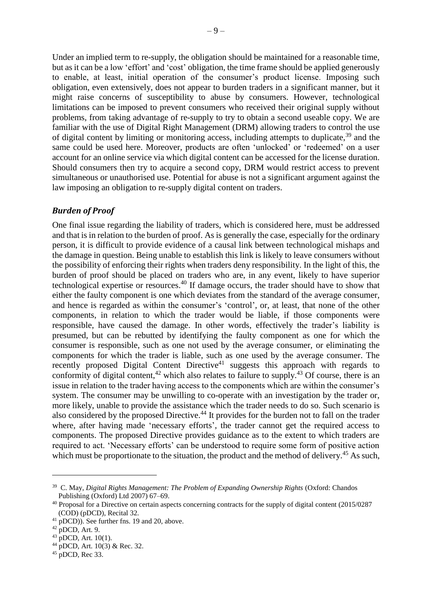Under an implied term to re-supply, the obligation should be maintained for a reasonable time, but as it can be a low 'effort' and 'cost' obligation, the time frame should be applied generously to enable, at least, initial operation of the consumer's product license. Imposing such obligation, even extensively, does not appear to burden traders in a significant manner, but it might raise concerns of susceptibility to abuse by consumers. However, technological limitations can be imposed to prevent consumers who received their original supply without problems, from taking advantage of re-supply to try to obtain a second useable copy. We are familiar with the use of Digital Right Management (DRM) allowing traders to control the use

of digital content by limiting or monitoring access, including attempts to duplicate,<sup>39</sup> and the same could be used here. Moreover, products are often 'unlocked' or 'redeemed' on a user account for an online service via which digital content can be accessed for the license duration. Should consumers then try to acquire a second copy, DRM would restrict access to prevent simultaneous or unauthorised use. Potential for abuse is not a significant argument against the law imposing an obligation to re-supply digital content on traders.

#### *Burden of Proof*

One final issue regarding the liability of traders, which is considered here, must be addressed and that is in relation to the burden of proof. As is generally the case, especially for the ordinary person, it is difficult to provide evidence of a causal link between technological mishaps and the damage in question. Being unable to establish this link is likely to leave consumers without the possibility of enforcing their rights when traders deny responsibility. In the light of this, the burden of proof should be placed on traders who are, in any event, likely to have superior technological expertise or resources. <sup>40</sup> If damage occurs, the trader should have to show that either the faulty component is one which deviates from the standard of the average consumer, and hence is regarded as within the consumer's 'control', or, at least, that none of the other components, in relation to which the trader would be liable, if those components were responsible, have caused the damage. In other words, effectively the trader's liability is presumed, but can be rebutted by identifying the faulty component as one for which the consumer is responsible, such as one not used by the average consumer, or eliminating the components for which the trader is liable, such as one used by the average consumer. The recently proposed Digital Content Directive<sup>41</sup> suggests this approach with regards to conformity of digital content,  $42$  which also relates to failure to supply.  $43$  Of course, there is an issue in relation to the trader having access to the components which are within the consumer's system. The consumer may be unwilling to co-operate with an investigation by the trader or, more likely, unable to provide the assistance which the trader needs to do so. Such scenario is also considered by the proposed Directive.<sup>44</sup> It provides for the burden not to fall on the trader where, after having made 'necessary efforts', the trader cannot get the required access to components. The proposed Directive provides guidance as to the extent to which traders are required to act. 'Necessary efforts' can be understood to require some form of positive action which must be proportionate to the situation, the product and the method of delivery.<sup>45</sup> As such,

<u>.</u>

<sup>39</sup> C. May, *Digital Rights Management: The Problem of Expanding Ownership Rights* (Oxford: Chandos Publishing (Oxford) Ltd 2007) 67–69.

<sup>&</sup>lt;sup>40</sup> Proposal for a Directive on certain aspects concerning contracts for the supply of digital content (2015/0287 (COD) (pDCD), Recital 32.

 $^{41}$  pDCD)). See further fns. 19 and 20, above.

 $42$  pDCD, Art. 9.

 $^{43}$  pDCD, Art. 10(1).

 $^{44}$  pDCD, Art. 10(3) & Rec. 32.

 $45$  pDCD, Rec 33.